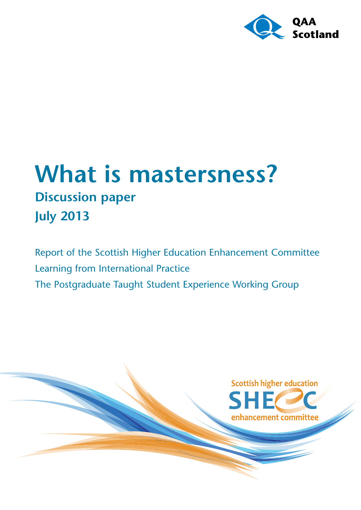

# **What is mastersness? Discussion paper July 2013**

Report of the Scottish Higher Education Enhancement Committee Learning from International Practice The Postgraduate Taught Student Experience Working Group

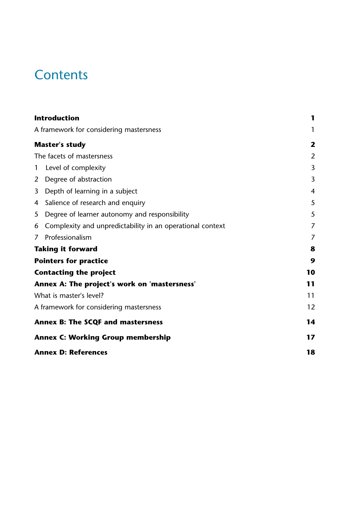## **Contents**

|                                              | <b>Introduction</b>                                       | 1              |
|----------------------------------------------|-----------------------------------------------------------|----------------|
|                                              | A framework for considering mastersness                   | 1              |
|                                              | <b>Master's study</b>                                     | 2              |
|                                              | The facets of mastersness                                 | $\overline{2}$ |
| $\mathbf{1}$                                 | Level of complexity                                       | 3              |
| $\overline{2}$                               | Degree of abstraction                                     | 3              |
| 3                                            | Depth of learning in a subject                            | $\overline{4}$ |
| 4                                            | Salience of research and enquiry                          | 5              |
| 5                                            | Degree of learner autonomy and responsibility             | 5              |
| 6                                            | Complexity and unpredictability in an operational context | 7              |
| 7                                            | Professionalism                                           | 7              |
|                                              | <b>Taking it forward</b>                                  | 8              |
|                                              | <b>Pointers for practice</b>                              | 9              |
| <b>Contacting the project</b>                |                                                           | 10             |
| Annex A: The project's work on 'mastersness' |                                                           | 11             |
| What is master's level?                      |                                                           | 11             |
|                                              | A framework for considering mastersness                   | 12             |
| <b>Annex B: The SCQF and mastersness</b>     |                                                           | 14             |
| <b>Annex C: Working Group membership</b>     |                                                           | 17             |
| <b>Annex D: References</b>                   |                                                           | 18             |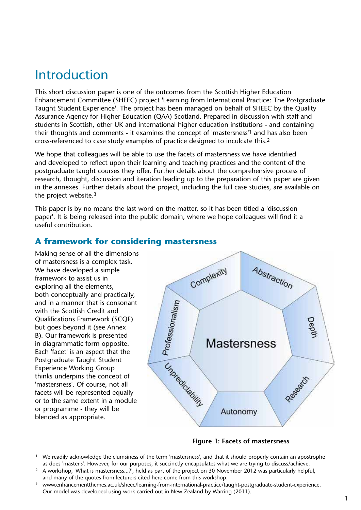## <span id="page-2-0"></span>Introduction

This short discussion paper is one of the outcomes from the Scottish Higher Education Enhancement Committee (SHEEC) project 'Learning from International Practice: The Postgraduate Taught Student Experience'. The project has been managed on behalf of SHEEC by the Quality Assurance Agency for Higher Education (QAA) Scotland. Prepared in discussion with staff and students in Scottish, other UK and international higher education institutions - and containing their thoughts and comments - it examines the concept of 'mastersness'1 and has also been cross-referenced to case study examples of practice designed to inculcate this.2

We hope that colleagues will be able to use the facets of mastersness we have identified and developed to reflect upon their learning and teaching practices and the content of the postgraduate taught courses they offer. Further details about the comprehensive process of research, thought, discussion and iteration leading up to the preparation of this paper are given in the annexes. Further details about the project, including the full case studies, are available on the project website.3

This paper is by no means the last word on the matter, so it has been titled a 'discussion paper'. It is being released into the public domain, where we hope colleagues will find it a useful contribution.

## **A framework for considering mastersness**

Making sense of all the dimensions of mastersness is a complex task. We have developed a simple framework to assist us in exploring all the elements, both conceptually and practically, and in a manner that is consonant with the Scottish Credit and Qualifications Framework (SCQF) but goes beyond it (see Annex B). Our framework is presented in diagrammatic form opposite. Each 'facet' is an aspect that the Postgraduate Taught Student Experience Working Group thinks underpins the concept of 'mastersness'. Of course, not all facets will be represented equally or to the same extent in a module or programme - they will be blended as appropriate.



#### **Figure 1: Facets of mastersness**

<sup>&</sup>lt;sup>1</sup> We readily acknowledge the clumsiness of the term 'mastersness', and that it should properly contain an apostrophe as does 'master's'. However, for our purposes, it succinctly encapsulates what we are trying to discuss/achieve.

<sup>&</sup>lt;sup>2</sup> A workshop, 'What is mastersness...?', held as part of the project on 30 November 2012 was particularly helpful, and many of the quotes from lecturers cited here come from this workshop.

<sup>&</sup>lt;sup>3</sup> [www.enhancementthemes.ac.uk/sheec/learning-from-international-practice/taught-postgraduate-student-experience.](http://www.enhancementthemes.ac.uk/sheec/learning-from-international-practice/taught-postgraduate-student-experience) Our model was developed using work carried out in New Zealand by Warring (2011).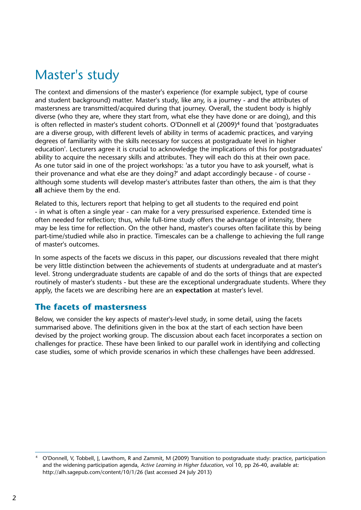## <span id="page-3-0"></span>Master's study

The context and dimensions of the master's experience (for example subject, type of course and student background) matter. Master's study, like any, is a journey - and the attributes of mastersness are transmitted/acquired during that journey. Overall, the student body is highly diverse (who they are, where they start from, what else they have done or are doing), and this is often reflected in master's student cohorts. O'Donnell et al (2009)<sup>4</sup> found that 'postgraduates are a diverse group, with different levels of ability in terms of academic practices, and varying degrees of familiarity with the skills necessary for success at postgraduate level in higher education'. Lecturers agree it is crucial to acknowledge the implications of this for postgraduates' ability to acquire the necessary skills and attributes. They will each do this at their own pace. As one tutor said in one of the project workshops: 'as a tutor you have to ask yourself, what is their provenance and what else are they doing?' and adapt accordingly because - of course although some students will develop master's attributes faster than others, the aim is that they **all** achieve them by the end.

Related to this, lecturers report that helping to get all students to the required end point - in what is often a single year - can make for a very pressurised experience. Extended time is often needed for reflection; thus, while full-time study offers the advantage of intensity, there may be less time for reflection. On the other hand, master's courses often facilitate this by being part-time/studied while also in practice. Timescales can be a challenge to achieving the full range of master's outcomes.

In some aspects of the facets we discuss in this paper, our discussions revealed that there might be very little distinction between the achievements of students at undergraduate and at master's level. Strong undergraduate students are capable of and do the sorts of things that are expected routinely of master's students - but these are the exceptional undergraduate students. Where they apply, the facets we are describing here are an **expectation** at master's level.

### **The facets of mastersness**

Below, we consider the key aspects of master's-level study, in some detail, using the facets summarised above. The definitions given in the box at the start of each section have been devised by the project working group. The discussion about each facet incorporates a section on challenges for practice. These have been linked to our parallel work in identifying and collecting case studies, some of which provide scenarios in which these challenges have been addressed.

<sup>4</sup> O'Donnell, V, Tobbell, J, Lawthom, R and Zammit, M (2009) Transition to postgraduate study: practice, participation and the widening participation agenda, *Active Learning in Higher Education*, vol 10, pp 26-40, available at: <http://alh.sagepub.com/content/10/1/26>(last accessed 24 July 2013)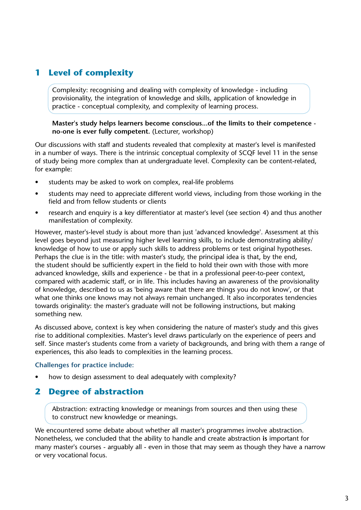## **1 Level of complexity**

Complexity: recognising and dealing with complexity of knowledge - including provisionality, the integration of knowledge and skills, application of knowledge in practice - conceptual complexity, and complexity of learning process.

#### **Master's study helps learners become conscious...of the limits to their competence no-one is ever fully competent.** (Lecturer, workshop)

Our discussions with staff and students revealed that complexity at master's level is manifested in a number of ways. There is the intrinsic conceptual complexity of SCQF level 11 in the sense of study being more complex than at undergraduate level. Complexity can be content-related, for example:

- students may be asked to work on complex, real-life problems
- students may need to appreciate different world views, including from those working in the field and from fellow students or clients
- research and enquiry is a key differentiator at master's level (see section 4) and thus another manifestation of complexity.

However, master's-level study is about more than just 'advanced knowledge'. Assessment at this level goes beyond just measuring higher level learning skills, to include demonstrating ability/ knowledge of how to use or apply such skills to address problems or test original hypotheses. Perhaps the clue is in the title: with master's study, the principal idea is that, by the end, the student should be sufficiently expert in the field to hold their own with those with more advanced knowledge, skills and experience - be that in a professional peer-to-peer context, compared with academic staff, or in life. This includes having an awareness of the provisionality of knowledge, described to us as 'being aware that there are things you do not know', or that what one thinks one knows may not always remain unchanged. It also incorporates tendencies towards originality: the master's graduate will not be following instructions, but making something new.

As discussed above, context is key when considering the nature of master's study and this gives rise to additional complexities. Master's level draws particularly on the experience of peers and self. Since master's students come from a variety of backgrounds, and bring with them a range of experiences, this also leads to complexities in the learning process.

#### **Challenges for practice include:**

how to design assessment to deal adequately with complexity?

### **2 Degree of abstraction**

Abstraction: extracting knowledge or meanings from sources and then using these to construct new knowledge or meanings.

We encountered some debate about whether all master's programmes involve abstraction. Nonetheless, we concluded that the ability to handle and create abstraction **is** important for many master's courses - arguably all - even in those that may seem as though they have a narrow or very vocational focus.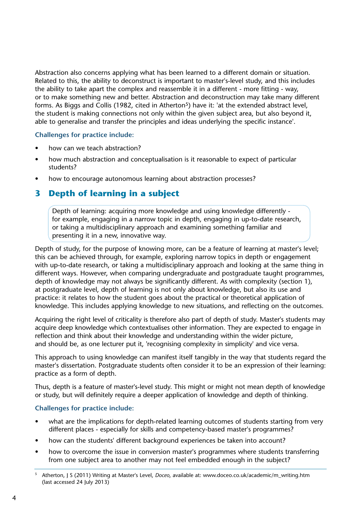Abstraction also concerns applying what has been learned to a different domain or situation. Related to this, the ability to deconstruct is important to master's-level study, and this includes the ability to take apart the complex and reassemble it in a different - more fitting - way, or to make something new and better. Abstraction and deconstruction may take many different forms. As Biggs and Collis (1982, cited in Atherton<sup>5</sup>) have it: 'at the extended abstract level, the student is making connections not only within the given subject area, but also beyond it, able to generalise and transfer the principles and ideas underlying the specific instance'.

### **Challenges for practice include:**

- how can we teach abstraction?
- how much abstraction and conceptualisation is it reasonable to expect of particular students?
- how to encourage autonomous learning about abstraction processes?

### **3 Depth of learning in a subject**

 Depth of learning: acquiring more knowledge and using knowledge differently for example, engaging in a narrow topic in depth, engaging in up-to-date research, or taking a multidisciplinary approach and examining something familiar and presenting it in a new, innovative way.

Depth of study, for the purpose of knowing more, can be a feature of learning at master's level; this can be achieved through, for example, exploring narrow topics in depth or engagement with up-to-date research, or taking a multidisciplinary approach and looking at the same thing in different ways. However, when comparing undergraduate and postgraduate taught programmes, depth of knowledge may not always be significantly different. As with complexity (section 1), at postgraduate level, depth of learning is not only about knowledge, but also its use and practice: it relates to how the student goes about the practical or theoretical application of knowledge. This includes applying knowledge to new situations, and reflecting on the outcomes.

Acquiring the right level of criticality is therefore also part of depth of study. Master's students may acquire deep knowledge which contextualises other information. They are expected to engage in reflection and think about their knowledge and understanding within the wider picture, and should be, as one lecturer put it, 'recognising complexity in simplicity' and vice versa.

This approach to using knowledge can manifest itself tangibly in the way that students regard the master's dissertation. Postgraduate students often consider it to be an expression of their learning: practice as a form of depth.

Thus, depth is a feature of master's-level study. This might or might not mean depth of knowledge or study, but will definitely require a deeper application of knowledge and depth of thinking.

### **Challenges for practice include:**

- what are the implications for depth-related learning outcomes of students starting from very different places - especially for skills and competency-based master's programmes?
- how can the students' different background experiences be taken into account?
- how to overcome the issue in conversion master's programmes where students transferring from one subject area to another may not feel embedded enough in the subject?

<sup>5</sup> Atherton, J S (2011) Writing at Master's Level, *Doceo*, available at: [www.doceo.co.uk/academic/m\\_writing.htm](http://www.doceo.co.uk/academic/m_writing.htm) (last accessed 24 July 2013)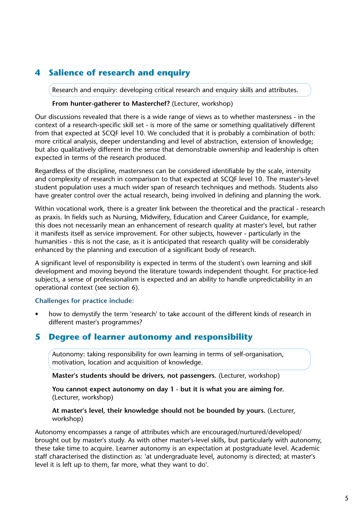## **4 Salience of research and enquiry**

Research and enquiry: developing critical research and enquiry skills and attributes.

#### **From hunter-gatherer to Masterchef?** (Lecturer, workshop)

Our discussions revealed that there is a wide range of views as to whether mastersness - in the context of a research-specific skill set - is more of the same or something qualitatively different from that expected at SCQF level 10. We concluded that it is probably a combination of both: more critical analysis, deeper understanding and level of abstraction, extension of knowledge; but also qualitatively different in the sense that demonstrable ownership and leadership is often expected in terms of the research produced.

Regardless of the discipline, mastersness can be considered identifiable by the scale, intensity and complexity of research in comparison to that expected at SCQF level 10. The master's-level student population uses a much wider span of research techniques and methods. Students also have greater control over the actual research, being involved in defining and planning the work.

Within vocational work, there is a greater link between the theoretical and the practical - research as praxis. In fields such as Nursing, Midwifery, Education and Career Guidance, for example, this does not necessarily mean an enhancement of research quality at master's level, but rather it manifests itself as service improvement. For other subjects, however - particularly in the humanities - this is not the case, as it is anticipated that research quality will be considerably enhanced by the planning and execution of a significant body of research.

A significant level of responsibility is expected in terms of the student's own learning and skill development and moving beyond the literature towards independent thought. For practice-led subjects, a sense of professionalism is expected and an ability to handle unpredictability in an operational context (see section 6).

#### **Challenges for practice include:**

• how to demystify the term 'research' to take account of the different kinds of research in different master's programmes?

### **5 Degree of learner autonomy and responsibility**

 Autonomy: taking responsibility for own learning in terms of self-organisation, motivation, location and acquisition of knowledge.

**Master's students should be drivers, not passengers.** (Lecturer, workshop)

 **You cannot expect autonomy on day 1 - but it is what you are aiming for.**  (Lecturer, workshop)

 **At master's level, their knowledge should not be bounded by yours.** (Lecturer, workshop)

Autonomy encompasses a range of attributes which are encouraged/nurtured/developed/ brought out by master's study. As with other master's-level skills, but particularly with autonomy, these take time to acquire. Learner autonomy is an expectation at postgraduate level. Academic staff characterised the distinction as: 'at undergraduate level, autonomy is directed; at master's level it is left up to them, far more, what they want to do'.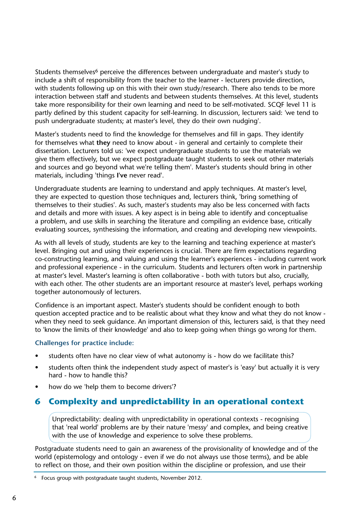Students themselves<sup>6</sup> perceive the differences between undergraduate and master's study to include a shift of responsibility from the teacher to the learner - lecturers provide direction, with students following up on this with their own study/research. There also tends to be more interaction between staff and students and between students themselves. At this level, students take more responsibility for their own learning and need to be self-motivated. SCQF level 11 is partly defined by this student capacity for self-learning. In discussion, lecturers said: 'we tend to push undergraduate students; at master's level, they do their own nudging'.

Master's students need to find the knowledge for themselves and fill in gaps. They identify for themselves what **they** need to know about - in general and certainly to complete their dissertation. Lecturers told us: 'we expect undergraduate students to use the materials we give them effectively, but we expect postgraduate taught students to seek out other materials and sources and go beyond what we're telling them'. Master's students should bring in other materials, including 'things **I've** never read'.

Undergraduate students are learning to understand and apply techniques. At master's level, they are expected to question those techniques and, lecturers think, 'bring something of themselves to their studies'. As such, master's students may also be less concerned with facts and details and more with issues. A key aspect is in being able to identify and conceptualise a problem, and use skills in searching the literature and compiling an evidence base, critically evaluating sources, synthesising the information, and creating and developing new viewpoints.

As with all levels of study, students are key to the learning and teaching experience at master's level. Bringing out and using their experiences is crucial. There are firm expectations regarding co-constructing learning, and valuing and using the learner's experiences - including current work and professional experience - in the curriculum. Students and lecturers often work in partnership at master's level. Master's learning is often collaborative - both with tutors but also, crucially, with each other. The other students are an important resource at master's level, perhaps working together autonomously of lecturers.

Confidence is an important aspect. Master's students should be confident enough to both question accepted practice and to be realistic about what they know and what they do not know when they need to seek guidance. An important dimension of this, lecturers said, is that they need to 'know the limits of their knowledge' and also to keep going when things go wrong for them.

#### **Challenges for practice include:**

- students often have no clear view of what autonomy is how do we facilitate this?
- students often think the independent study aspect of master's is 'easy' but actually it is very hard - how to handle this?
- how do we 'help them to become drivers'?

### **6 Complexity and unpredictability in an operational context**

 Unpredictability: dealing with unpredictability in operational contexts - recognising that 'real world' problems are by their nature 'messy' and complex, and being creative with the use of knowledge and experience to solve these problems.

Postgraduate students need to gain an awareness of the provisionality of knowledge and of the world (epistemology and ontology - even if we do not always use those terms), and be able to reflect on those, and their own position within the discipline or profession, and use their

<sup>6</sup> Focus group with postgraduate taught students, November 2012.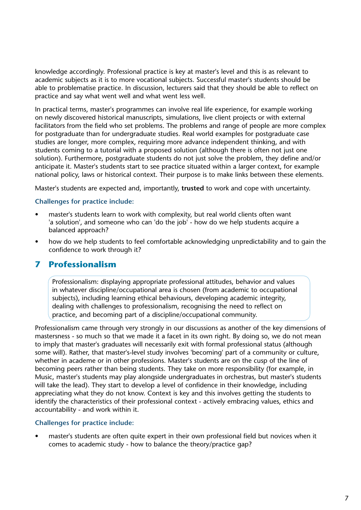knowledge accordingly. Professional practice is key at master's level and this is as relevant to academic subjects as it is to more vocational subjects. Successful master's students should be able to problematise practice. In discussion, lecturers said that they should be able to reflect on practice and say what went well and what went less well.

In practical terms, master's programmes can involve real life experience, for example working on newly discovered historical manuscripts, simulations, live client projects or with external facilitators from the field who set problems. The problems and range of people are more complex for postgraduate than for undergraduate studies. Real world examples for postgraduate case studies are longer, more complex, requiring more advance independent thinking, and with students coming to a tutorial with a proposed solution (although there is often not just one solution). Furthermore, postgraduate students do not just solve the problem, they define and/or anticipate it. Master's students start to see practice situated within a larger context, for example national policy, laws or historical context. Their purpose is to make links between these elements.

Master's students are expected and, importantly, **trusted** to work and cope with uncertainty.

#### **Challenges for practice include:**

- master's students learn to work with complexity, but real world clients often want 'a solution', and someone who can 'do the job' - how do we help students acquire a balanced approach?
- how do we help students to feel comfortable acknowledging unpredictability and to gain the confidence to work through it?

### **7 Professionalism**

 Professionalism: displaying appropriate professional attitudes, behavior and values in whatever discipline/occupational area is chosen (from academic to occupational subjects), including learning ethical behaviours, developing academic integrity, dealing with challenges to professionalism, recognising the need to reflect on practice, and becoming part of a discipline/occupational community.

Professionalism came through very strongly in our discussions as another of the key dimensions of mastersness - so much so that we made it a facet in its own right. By doing so, we do not mean to imply that master's graduates will necessarily exit with formal professional status (although some will). Rather, that master's-level study involves 'becoming' part of a community or culture, whether in academe or in other professions. Master's students are on the cusp of the line of becoming peers rather than being students. They take on more responsibility (for example, in Music, master's students may play alongside undergraduates in orchestras, but master's students will take the lead). They start to develop a level of confidence in their knowledge, including appreciating what they do not know. Context is key and this involves getting the students to identify the characteristics of their professional context - actively embracing values, ethics and accountability - and work within it.

#### **Challenges for practice include:**

• master's students are often quite expert in their own professional field but novices when it comes to academic study - how to balance the theory/practice gap?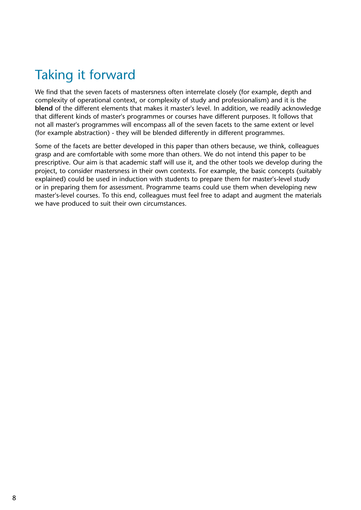## <span id="page-9-0"></span>Taking it forward

We find that the seven facets of mastersness often interrelate closely (for example, depth and complexity of operational context, or complexity of study and professionalism) and it is the **blend** of the different elements that makes it master's level. In addition, we readily acknowledge that different kinds of master's programmes or courses have different purposes. It follows that not all master's programmes will encompass all of the seven facets to the same extent or level (for example abstraction) - they will be blended differently in different programmes.

Some of the facets are better developed in this paper than others because, we think, colleagues grasp and are comfortable with some more than others. We do not intend this paper to be prescriptive. Our aim is that academic staff will use it, and the other tools we develop during the project, to consider mastersness in their own contexts. For example, the basic concepts (suitably explained) could be used in induction with students to prepare them for master's-level study or in preparing them for assessment. Programme teams could use them when developing new master's-level courses. To this end, colleagues must feel free to adapt and augment the materials we have produced to suit their own circumstances.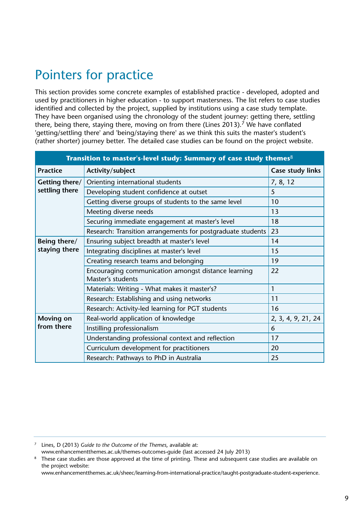## <span id="page-10-0"></span>Pointers for practice

This section provides some concrete examples of established practice - developed, adopted and used by practitioners in higher education - to support mastersness. The list refers to case studies identified and collected by the project, supplied by institutions using a case study template. They have been organised using the chronology of the student journey: getting there, settling there, being there, staying there, moving on from there (Lines 2013).<sup>7</sup> We have conflated 'getting/settling there' and 'being/staying there' as we think this suits the master's student's (rather shorter) journey better. The detailed case studies can be found on the project website.

| Transition to master's-level study: Summary of case study themes <sup>8</sup> |                                                                          |                    |  |  |
|-------------------------------------------------------------------------------|--------------------------------------------------------------------------|--------------------|--|--|
| <b>Practice</b>                                                               | Activity/subject                                                         | Case study links   |  |  |
| Getting there/                                                                | Orienting international students                                         | 7, 8, 12           |  |  |
| settling there                                                                | Developing student confidence at outset                                  | 5                  |  |  |
|                                                                               | Getting diverse groups of students to the same level                     | 10                 |  |  |
|                                                                               | Meeting diverse needs                                                    | 13                 |  |  |
|                                                                               | Securing immediate engagement at master's level                          | 18                 |  |  |
|                                                                               | Research: Transition arrangements for postgraduate students              | 23                 |  |  |
| Being there/                                                                  | Ensuring subject breadth at master's level                               | 14                 |  |  |
| staying there                                                                 | Integrating disciplines at master's level                                | 15                 |  |  |
|                                                                               | Creating research teams and belonging                                    | 19                 |  |  |
|                                                                               | Encouraging communication amongst distance learning<br>Master's students | 22                 |  |  |
|                                                                               | Materials: Writing - What makes it master's?                             | 1                  |  |  |
|                                                                               | Research: Establishing and using networks                                | 11                 |  |  |
|                                                                               | Research: Activity-led learning for PGT students                         | 16                 |  |  |
| <b>Moving on</b>                                                              | Real-world application of knowledge                                      | 2, 3, 4, 9, 21, 24 |  |  |
| from there                                                                    | Instilling professionalism                                               | 6                  |  |  |
|                                                                               | Understanding professional context and reflection                        | 17                 |  |  |
|                                                                               | Curriculum development for practitioners                                 | 20                 |  |  |
|                                                                               | Research: Pathways to PhD in Australia                                   | 25                 |  |  |

<sup>7</sup> Lines, D (2013) *Guide to the Outcome of the Themes*, available at:

[www.enhancementthemes.ac.uk/themes-outcomes-guide](http://www.enhancementthemes.ac.uk/themes-outcomes-guide) (last accessed 24 July 2013)

These case studies are those approved at the time of printing. These and subsequent case studies are available on the project website:

[www.enhancementthemes.ac.uk/sheec/learning-from-international-practice/taught-postgraduate-student-experience.](http://www.enhancementthemes.ac.uk/sheec/learning-from-international-practice/taught-postgraduate-student-experience)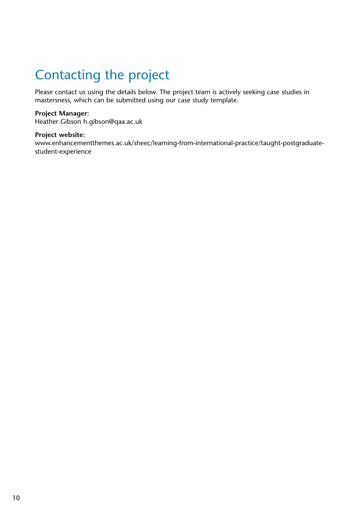## <span id="page-11-0"></span>Contacting the project

Please contact us using the details below. The project team is actively seeking case studies in mastersness, which can be submitted using our case study template.

### **Project Manager:**

Heather Gibson h.gibson@qaa.ac.uk

#### **Project website:**

[www.enhancementthemes.ac.uk/sheec/learning-from-international-practice/taught-postgraduate](www.enhancementthemes.ac.uk/sheec/learning-from-international-practice/taught-postgraduate-student-experience)[student-experience](www.enhancementthemes.ac.uk/sheec/learning-from-international-practice/taught-postgraduate-student-experience)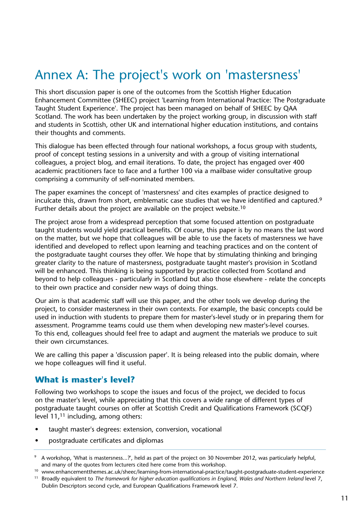## <span id="page-12-0"></span>Annex A: The project's work on 'mastersness'

This short discussion paper is one of the outcomes from the Scottish Higher Education Enhancement Committee (SHEEC) project 'Learning from International Practice: The Postgraduate Taught Student Experience'. The project has been managed on behalf of SHEEC by QAA Scotland. The work has been undertaken by the project working group, in discussion with staff and students in Scottish, other UK and international higher education institutions, and contains their thoughts and comments.

This dialogue has been effected through four national workshops, a focus group with students, proof of concept testing sessions in a university and with a group of visiting international colleagues, a project blog, and email iterations. To date, the project has engaged over 400 academic practitioners face to face and a further 100 via a mailbase wider consultative group comprising a community of self-nominated members.

The paper examines the concept of 'mastersness' and cites examples of practice designed to inculcate this, drawn from short, emblematic case studies that we have identified and captured.<sup>9</sup> Further details about the project are available on the project website.<sup>10</sup>

The project arose from a widespread perception that some focused attention on postgraduate taught students would yield practical benefits. Of course, this paper is by no means the last word on the matter, but we hope that colleagues will be able to use the facets of mastersness we have identified and developed to reflect upon learning and teaching practices and on the content of the postgraduate taught courses they offer. We hope that by stimulating thinking and bringing greater clarity to the nature of mastersness, postgraduate taught master's provision in Scotland will be enhanced. This thinking is being supported by practice collected from Scotland and beyond to help colleagues - particularly in Scotland but also those elsewhere - relate the concepts to their own practice and consider new ways of doing things.

Our aim is that academic staff will use this paper, and the other tools we develop during the project, to consider mastersness in their own contexts. For example, the basic concepts could be used in induction with students to prepare them for master's-level study or in preparing them for assessment. Programme teams could use them when developing new master's-level courses. To this end, colleagues should feel free to adapt and augment the materials we produce to suit their own circumstances.

We are calling this paper a 'discussion paper'. It is being released into the public domain, where we hope colleagues will find it useful.

### **What is master's level?**

Following two workshops to scope the issues and focus of the project, we decided to focus on the master's level, while appreciating that this covers a wide range of different types of postgraduate taught courses on offer at Scottish Credit and Qualifications Framework (SCQF) level 11,11 including, among others:

- taught master's degrees: extension, conversion, vocational
- postgraduate certificates and diplomas

<sup>9</sup> A workshop, 'What is mastersness...?', held as part of the project on 30 November 2012, was particularly helpful, and many of the quotes from lecturers cited here come from this workshop.

<sup>&</sup>lt;sup>10</sup> <www.enhancementthemes.ac.uk/sheec/learning-from-international-practice/taught-postgraduate-student-experience>

<sup>&</sup>lt;sup>11</sup> Broadly equivalent to *The framework for higher education qualifications in England, Wales and Northern Ireland level 7,* Dublin Descriptors second cycle, and European Qualifications Framework level 7.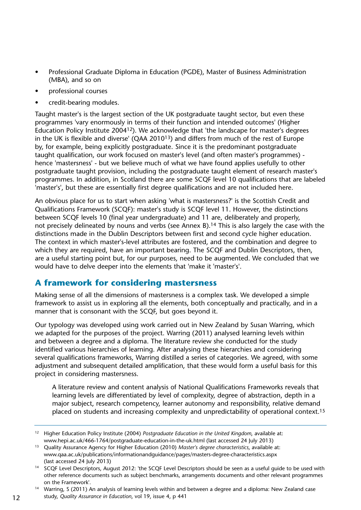- Professional Graduate Diploma in Education (PGDE), Master of Business Administration (MBA), and so on
- professional courses
- credit-bearing modules.

Taught master's is the largest section of the UK postgraduate taught sector, but even these programmes 'vary enormously in terms of their function and intended outcomes' (Higher Education Policy Institute 200412). We acknowledge that 'the landscape for master's degrees in the UK is flexible and diverse' (QAA 201013) and differs from much of the rest of Europe by, for example, being explicitly postgraduate. Since it is the predominant postgraduate taught qualification, our work focused on master's level (and often master's programmes) hence 'mastersness' - but we believe much of what we have found applies usefully to other postgraduate taught provision, including the postgraduate taught element of research master's programmes. In addition, in Scotland there are some SCQF level 10 qualifications that are labeled 'master's', but these are essentially first degree qualifications and are not included here.

An obvious place for us to start when asking 'what is mastersness?' is the Scottish Credit and Qualifications Framework (SCQF): master's study is SCQF level 11. However, the distinctions between SCQF levels 10 (final year undergraduate) and 11 are, deliberately and properly, not precisely delineated by nouns and verbs (see Annex B).<sup>14</sup> This is also largely the case with the distinctions made in the Dublin Descriptors between first and second cycle higher education. The context in which master's-level attributes are fostered, and the combination and degree to which they are required, have an important bearing. The SCQF and Dublin Descriptors, then, are a useful starting point but, for our purposes, need to be augmented. We concluded that we would have to delve deeper into the elements that 'make it 'master's'.

### **A framework for considering mastersness**

Making sense of all the dimensions of mastersness is a complex task. We developed a simple framework to assist us in exploring all the elements, both conceptually and practically, and in a manner that is consonant with the SCQF, but goes beyond it.

Our typology was developed using work carried out in New Zealand by Susan Warring, which we adapted for the purposes of the project. Warring (2011) analysed learning levels within and between a degree and a diploma. The literature review she conducted for the study identified various hierarchies of learning. After analysing these hierarchies and considering several qualifications frameworks, Warring distilled a series of categories. We agreed, with some adjustment and subsequent detailed amplification, that these would form a useful basis for this project in considering mastersness.

 A literature review and content analysis of National Qualifications Frameworks reveals that learning levels are differentiated by level of complexity, degree of abstraction, depth in a major subject, research competency, learner autonomy and responsibility, relative demand placed on students and increasing complexity and unpredictability of operational context.15

<sup>14</sup> Warring, S (2011) An analysis of learning levels within and between a degree and a diploma: New Zealand case study, *Quality Assurance in Education*, vol 19, issue 4, p 441

<sup>12</sup> Higher Education Policy Institute (2004) *Postgraduate Education in the United Kingdom*, available at: <www.hepi.ac.uk/466-1764/postgraduate-education-in-the-uk.html>(last accessed 24 July 2013)

<sup>13</sup> Quality Assurance Agency for Higher Education (2010) *Master's degree characteristics*, available at: <www.qaa.ac.uk/publications/informationandguidance/pages/masters-degree-characteristics.aspx> (last accessed 24 July 2013)

<sup>&</sup>lt;sup>14</sup> SCQF Level Descriptors, August 2012: 'the SCQF Level Descriptors should be seen as a useful quide to be used with other reference documents such as subject benchmarks, arrangements documents and other relevant programmes on the Framework'.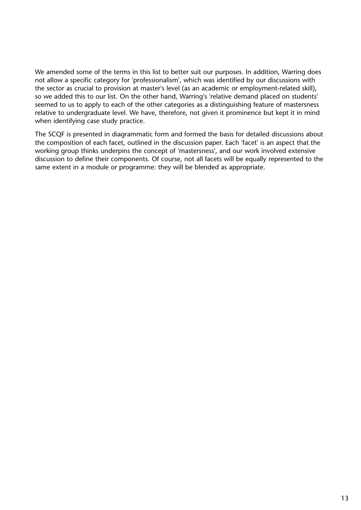We amended some of the terms in this list to better suit our purposes. In addition, Warring does not allow a specific category for 'professionalism', which was identified by our discussions with the sector as crucial to provision at master's level (as an academic or employment-related skill), so we added this to our list. On the other hand, Warring's 'relative demand placed on students' seemed to us to apply to each of the other categories as a distinguishing feature of mastersness relative to undergraduate level. We have, therefore, not given it prominence but kept it in mind when identifying case study practice.

The SCQF is presented in diagrammatic form and formed the basis for detailed discussions about the composition of each facet, outlined in the discussion paper. Each 'facet' is an aspect that the working group thinks underpins the concept of 'mastersness', and our work involved extensive discussion to define their components. Of course, not all facets will be equally represented to the same extent in a module or programme: they will be blended as appropriate.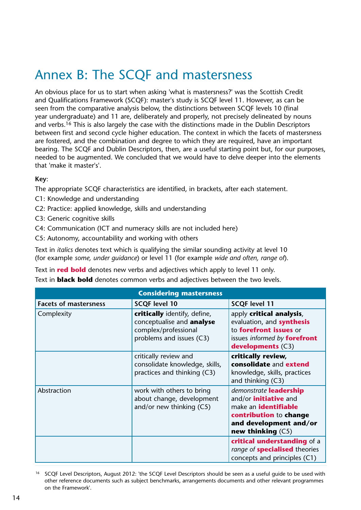## <span id="page-15-0"></span>Annex B: The SCQF and mastersness

An obvious place for us to start when asking 'what is mastersness?' was the Scottish Credit and Qualifications Framework (SCQF): master's study is SCQF level 11. However, as can be seen from the comparative analysis below, the distinctions between SCQF levels 10 (final year undergraduate) and 11 are, deliberately and properly, not precisely delineated by nouns and verbs.<sup>16</sup> This is also largely the case with the distinctions made in the Dublin Descriptors between first and second cycle higher education. The context in which the facets of mastersness are fostered, and the combination and degree to which they are required, have an important bearing. The SCQF and Dublin Descriptors, then, are a useful starting point but, for our purposes, needed to be augmented. We concluded that we would have to delve deeper into the elements that 'make it master's'.

### **Key**:

The appropriate SCQF characteristics are identified, in brackets, after each statement.

- C1: Knowledge and understanding
- C2: Practice: applied knowledge, skills and understanding
- C3: Generic cognitive skills
- C4: Communication (ICT and numeracy skills are not included here)
- C5: Autonomy, accountability and working with others

Text in *italics* denotes text which is qualifying the similar sounding activity at level 10 (for example *some, under guidance*) or level 11 (for example *wide and often, range of*).

Text in **red bold** denotes new verbs and adjectives which apply to level 11 only.

Text in **black bold** denotes common verbs and adjectives between the two levels.

| <b>Considering mastersness</b> |                                                                                                               |                                                                                                                                                                  |  |  |
|--------------------------------|---------------------------------------------------------------------------------------------------------------|------------------------------------------------------------------------------------------------------------------------------------------------------------------|--|--|
| <b>Facets of mastersness</b>   | <b>SCQF level 10</b>                                                                                          | <b>SCQF level 11</b>                                                                                                                                             |  |  |
| Complexity                     | critically identify, define,<br>conceptualise and analyse<br>complex/professional<br>problems and issues (C3) | apply critical analysis,<br>evaluation, and synthesis<br>to forefront issues or<br>issues informed by forefront<br>developments $(C3)$                           |  |  |
|                                | critically review and<br>consolidate knowledge, skills,<br>practices and thinking (C3)                        | critically review,<br>consolidate and extend<br>knowledge, skills, practices<br>and thinking (C3)                                                                |  |  |
| Abstraction                    | work with others to bring<br>about change, development<br>and/or new thinking (C5)                            | demonstrate leadership<br>and/or <i>initiative</i> and<br>make an <i>identifiable</i><br>contribution to change<br>and development and/or<br>new thinking $(C5)$ |  |  |
|                                |                                                                                                               | critical understanding of a<br>range of <b>specialised</b> theories<br>concepts and principles (C1)                                                              |  |  |

<sup>16</sup> SCQF Level Descriptors, August 2012: 'the SCQF Level Descriptors should be seen as a useful guide to be used with other reference documents such as subject benchmarks, arrangements documents and other relevant programmes on the Framework'.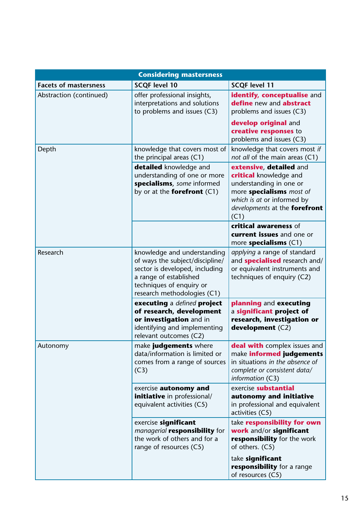| <b>Considering mastersness</b> |                                                                                                                                                                                       |                                                                                                                                                                                 |  |  |
|--------------------------------|---------------------------------------------------------------------------------------------------------------------------------------------------------------------------------------|---------------------------------------------------------------------------------------------------------------------------------------------------------------------------------|--|--|
| <b>Facets of mastersness</b>   | <b>SCQF level 10</b>                                                                                                                                                                  | <b>SCQF level 11</b>                                                                                                                                                            |  |  |
| Abstraction (continued)        | offer professional insights,<br>interpretations and solutions<br>to problems and issues (C3)                                                                                          | identify, conceptualise and<br>define new and abstract<br>problems and issues (C3)<br>develop original and<br>creative responses to<br>problems and issues (C3)                 |  |  |
| Depth                          | knowledge that covers most of<br>the principal areas (C1)                                                                                                                             | knowledge that covers most if<br>not all of the main areas (C1)                                                                                                                 |  |  |
|                                | detailed knowledge and<br>understanding of one or more<br>specialisms, some informed<br>by or at the <b>forefront</b> $(C1)$                                                          | extensive, detailed and<br>critical knowledge and<br>understanding in one or<br>more specialisms most of<br>which is at or informed by<br>developments at the forefront<br>(C1) |  |  |
|                                |                                                                                                                                                                                       | critical awareness of<br>current issues and one or<br>more specialisms $(C1)$                                                                                                   |  |  |
| Research                       | knowledge and understanding<br>of ways the subject/discipline/<br>sector is developed, including<br>a range of established<br>techniques of enquiry or<br>research methodologies (C1) | applying a range of standard<br>and <b>specialised</b> research and/<br>or equivalent instruments and<br>techniques of enquiry (C2)                                             |  |  |
|                                | executing a defined project<br>of research, development<br>or investigation and in<br>identifying and implementing<br>relevant outcomes (C2)                                          | planning and executing<br>a significant project of<br>research, investigation or<br>development $(C2)$                                                                          |  |  |
| Autonomy                       | make judgements where<br>data/information is limited or<br>comes from a range of sources<br>(C3)                                                                                      | deal with complex issues and<br>make informed judgements<br>in situations in the absence of<br>complete or consistent data/<br>information (C3)                                 |  |  |
|                                | exercise <b>autonomy</b> and<br><i>initiative</i> in professional/<br>equivalent activities (C5)                                                                                      | exercise substantial<br>autonomy and initiative<br>in professional and equivalent<br>activities (C5)                                                                            |  |  |
|                                | exercise significant<br>managerial <b>responsibility</b> for<br>the work of others and for a<br>range of resources (C5)                                                               | take responsibility for own<br>work and/or significant<br>responsibility for the work<br>of others. (C5)                                                                        |  |  |
|                                |                                                                                                                                                                                       | take significant<br>responsibility for a range<br>of resources (C5)                                                                                                             |  |  |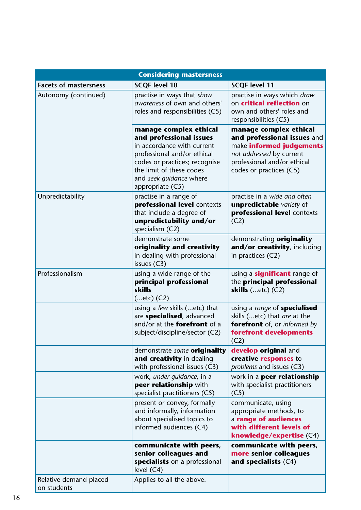| <b>Considering mastersness</b>        |                                                                                                                                                                                                                            |                                                                                                                                                                         |  |  |
|---------------------------------------|----------------------------------------------------------------------------------------------------------------------------------------------------------------------------------------------------------------------------|-------------------------------------------------------------------------------------------------------------------------------------------------------------------------|--|--|
| <b>Facets of mastersness</b>          | <b>SCQF level 10</b>                                                                                                                                                                                                       | <b>SCQF level 11</b>                                                                                                                                                    |  |  |
| Autonomy (continued)                  | practise in ways that show<br>awareness of own and others'<br>roles and responsibilities (C5)                                                                                                                              | practise in ways which draw<br>on <b>critical reflection</b> on<br>own and others' roles and<br>responsibilities (C5)                                                   |  |  |
|                                       | manage complex ethical<br>and professional issues<br>in accordance with current<br>professional and/or ethical<br>codes or practices; recognise<br>the limit of these codes<br>and seek guidance where<br>appropriate (C5) | manage complex ethical<br>and professional issues and<br>make informed judgements<br>not addressed by current<br>professional and/or ethical<br>codes or practices (C5) |  |  |
| Unpredictability                      | practise in a range of<br>professional level contexts<br>that include a degree of<br>unpredictability and/or<br>specialism (C2)                                                                                            | practise in a wide and often<br>unpredictable variety of<br>professional level contexts<br>(C2)                                                                         |  |  |
|                                       | demonstrate some<br>originality and creativity<br>in dealing with professional<br>issues (C3)                                                                                                                              | demonstrating originality<br>and/or creativity, including<br>in practices (C2)                                                                                          |  |  |
| Professionalism                       | using a wide range of the<br>principal professional<br>skills<br>$(etc)$ (C2)                                                                                                                                              | using a <b>significant</b> range of<br>the principal professional<br>skills $(etc)$ (C2)                                                                                |  |  |
|                                       | using a few skills (etc) that<br>are specialised, advanced<br>and/or at the <b>forefront</b> of a<br>subject/discipline/sector (C2)                                                                                        | using a range of specialised<br>skills (etc) that are at the<br>forefront of, or informed by<br>forefront developments<br>(C2)                                          |  |  |
|                                       | demonstrate some originality<br>and creativity in dealing<br>with professional issues (C3)                                                                                                                                 | develop original and<br>creative responses to<br>problems and issues (C3)                                                                                               |  |  |
|                                       | work, under quidance, in a<br>peer relationship with<br>specialist practitioners (C5)                                                                                                                                      | work in a peer relationship<br>with specialist practitioners<br>(C5)                                                                                                    |  |  |
|                                       | present or convey, formally<br>and informally, information<br>about specialised topics to<br>informed audiences (C4)                                                                                                       | communicate, using<br>appropriate methods, to<br>a range of audiences<br>with different levels of<br>knowledge/expertise (C4)                                           |  |  |
|                                       | communicate with peers,<br>senior colleagues and<br>specialists on a professional<br>level (C4)                                                                                                                            | communicate with peers,<br>more senior colleagues<br>and specialists $(C4)$                                                                                             |  |  |
| Relative demand placed<br>on students | Applies to all the above.                                                                                                                                                                                                  |                                                                                                                                                                         |  |  |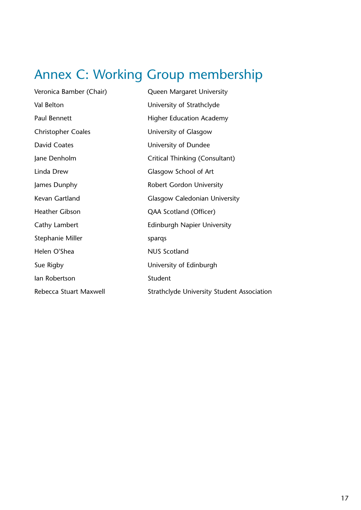## <span id="page-18-0"></span>Annex C: Working Group membership

| Veronica Bamber (Chair)   | Queen Margaret University                  |
|---------------------------|--------------------------------------------|
| Val Belton                | University of Strathclyde                  |
| <b>Paul Bennett</b>       | <b>Higher Education Academy</b>            |
| <b>Christopher Coales</b> | University of Glasgow                      |
| David Coates              | University of Dundee                       |
| Jane Denholm              | Critical Thinking (Consultant)             |
| Linda Drew                | Glasgow School of Art                      |
| James Dunphy              | <b>Robert Gordon University</b>            |
| Kevan Gartland            | <b>Glasgow Caledonian University</b>       |
| <b>Heather Gibson</b>     | QAA Scotland (Officer)                     |
| Cathy Lambert             | <b>Edinburgh Napier University</b>         |
| Stephanie Miller          | spargs                                     |
| Helen O'Shea              | <b>NUS Scotland</b>                        |
| Sue Rigby                 | University of Edinburgh                    |
| lan Robertson             | Student                                    |
| Rebecca Stuart Maxwell    | Strathclyde University Student Association |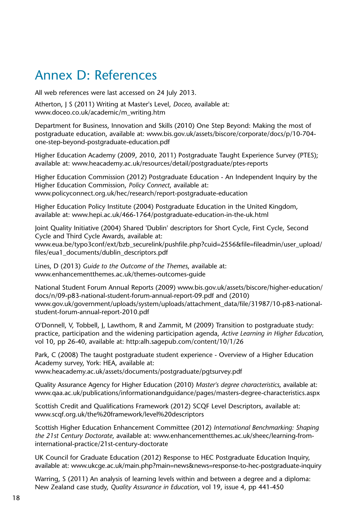## <span id="page-19-0"></span>Annex D: References

All web references were last accessed on 24 July 2013.

Atherton, J S (2011) Writing at Master's Level, *Doceo*, available at: [www.doceo.co.uk/academic/m\\_writing.htm](http://www.doceo.co.uk/academic/m_writing.htm) 

Department for Business, Innovation and Skills (2010) One Step Beyond: Making the most of postgraduate education, available at: [www.bis.gov.uk/assets/biscore/corporate/docs/p/10-704](http://www.bis.gov.uk/assets/biscore/corporate/docs/p/10-704-one-step-beyond-postgraduate-education.pdf) [one-step-beyond-postgraduate-education.pdf](http://www.bis.gov.uk/assets/biscore/corporate/docs/p/10-704-one-step-beyond-postgraduate-education.pdf)

Higher Education Academy (2009, 2010, 2011) Postgraduate Taught Experience Survey (PTES); available at: [www.heacademy.ac.uk/resources/detail/postgraduate/ptes-reports](http://www.heacademy.ac.uk/resources/detail/postgraduate/ptes-reports) 

Higher Education Commission (2012) Postgraduate Education - An Independent Inquiry by the Higher Education Commission, *Policy Connect*, available at: <www.policyconnect.org.uk/hec/research/report-postgraduate-education>

Higher Education Policy Institute (2004) Postgraduate Education in the United Kingdom, available at: [www.hepi.ac.uk/466-1764/postgraduate-education-in-the-uk.html](http://www.hepi.ac.uk/466-1764/postgraduate-education-in-the-uk.html)

Joint Quality Initiative (2004) Shared 'Dublin' descriptors for Short Cycle, First Cycle, Second Cycle and Third Cycle Awards, available at: [www.eua.be/typo3conf/ext/bzb\\_securelink/pushfile.php?cuid=2556&file=fileadmin/user\\_upload/](http://www.eua.be/typo3conf/ext/bzb_securelink/pushfile.php?cuid=2556&file=fileadmin/user_upload/files/eua1_documents/dublin_descriptors.pdf) [files/eua1\\_documents/dublin\\_descriptors.pdf](http://www.eua.be/typo3conf/ext/bzb_securelink/pushfile.php?cuid=2556&file=fileadmin/user_upload/files/eua1_documents/dublin_descriptors.pdf)

Lines, D (2013) *Guide to the Outcome of the Themes*, available at: [www.enhancementthemes.ac.uk/themes-outcomes-guide](http://www.enhancementthemes.ac.uk/themes-outcomes-guide)

National Student Forum Annual Reports (2009) [www.bis.gov.uk/assets/biscore/higher-education/](http://www.bis.gov.uk/assets/biscore/higher-education/docs/n/09-p83-national-student-forum-annual-report-09.pdf) [docs/n/09-p83-national-student-forum-annual-report-09.pdf](http://www.bis.gov.uk/assets/biscore/higher-education/docs/n/09-p83-national-student-forum-annual-report-09.pdf) and (2010) [www.gov.uk/government/uploads/system/uploads/attachment\\_data/file/31987/10-p83-national](https://www.gov.uk/government/uploads/system/uploads/attachment_data/file/31987/10-p83-national-student-forum-annual-report-2010.pdf)[student-forum-annual-report-2010.pdf](https://www.gov.uk/government/uploads/system/uploads/attachment_data/file/31987/10-p83-national-student-forum-annual-report-2010.pdf)

O'Donnell, V, Tobbell, J, Lawthom, R and Zammit, M (2009) Transition to postgraduate study: practice, participation and the widening participation agenda, *Active Learning in Higher Education*, vol 10, pp 26-40, available at: [http:alh.sagepub.com/content/10/1/26](http://alh.sagepub.com/content/10/1/26) 

Park, C (2008) The taught postgraduate student experience - Overview of a Higher Education Academy survey, York: HEA, available at: [www.heacademy.ac.uk/assets/documents/postgraduate/pgtsurvey.pdf](http://www.heacademy.ac.uk/assets/documents/postgraduate/pgtsurvey.pdf)

Quality Assurance Agency for Higher Education (2010) *Master's degree characteristics*, available at: [www.qaa.ac.uk/publications/informationandguidance/pages/masters-degree-characteristics.aspx](http://www.qaa.ac.uk/publications/informationandguidance/pages/masters-degree-characteristics.aspx) 

Scottish Credit and Qualifications Framework (2012) SCQF Level Descriptors, available at: www.scqf.org.uk/the%20framework/level%20descriptors

Scottish Higher Education Enhancement Committee (2012) *International Benchmarking: Shaping the 21st Century Doctorate*, available at: [www.enhancementthemes.ac.uk/sheec/learning-from](http://www.enhancementthemes.ac.uk/sheec/learning-from-international-practice/21st-century-doctorate)[international-practice/21st-century-doctorate](http://www.enhancementthemes.ac.uk/sheec/learning-from-international-practice/21st-century-doctorate)

UK Council for Graduate Education (2012) Response to HEC Postgraduate Education Inquiry, available at: [www.ukcge.ac.uk/main.php?main=news&news=response-to-hec-postgraduate-inquiry](http://www.ukcge.ac.uk/main.php?main=news&news=response-to-hec-postgraduate-inquiry)

Warring, S (2011) An analysis of learning levels within and between a degree and a diploma: New Zealand case study, *Quality Assurance in Education*, vol 19, issue 4, pp 441-450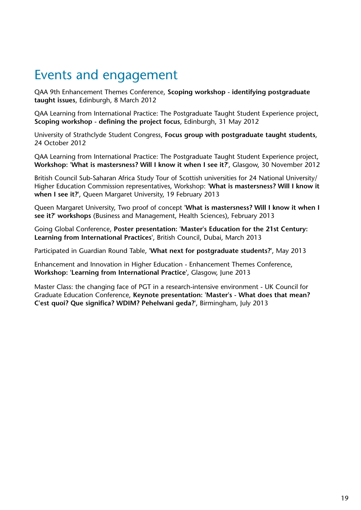## Events and engagement

QAA 9th Enhancement Themes Conference, **Scoping workshop - identifying postgraduate taught issues**, Edinburgh, 8 March 2012

QAA Learning from International Practice: The Postgraduate Taught Student Experience project, **Scoping workshop - defining the project focus**, Edinburgh, 31 May 2012

University of Strathclyde Student Congress, **Focus group with postgraduate taught students**, 24 October 2012

QAA Learning from International Practice: The Postgraduate Taught Student Experience project, **Workshop: 'What is mastersness? Will I know it when I see it?'**, Glasgow, 30 November 2012

British Council Sub-Saharan Africa Study Tour of Scottish universities for 24 National University/ Higher Education Commission representatives, Workshop: **'What is mastersness? Will I know it when I see it?'**, Queen Margaret University, 19 February 2013

Queen Margaret University, Two proof of concept **'What is mastersness? Will I know it when I see it?' workshops** (Business and Management, Health Sciences), February 2013

Going Global Conference, **Poster presentation: 'Master's Education for the 21st Century: Learning from International Practices'**, British Council, Dubai, March 2013

Participated in Guardian Round Table, **'What next for postgraduate students?'**, May 2013

Enhancement and Innovation in Higher Education - Enhancement Themes Conference, **Workshop: 'Learning from International Practice'**, Glasgow, June 2013

Master Class: the changing face of PGT in a research-intensive environment - UK Council for Graduate Education Conference, **Keynote presentation: 'Master's - What does that mean? C'est quoi? Que significa? WDIM? Pehelwani geda?'**, Birmingham, July 2013